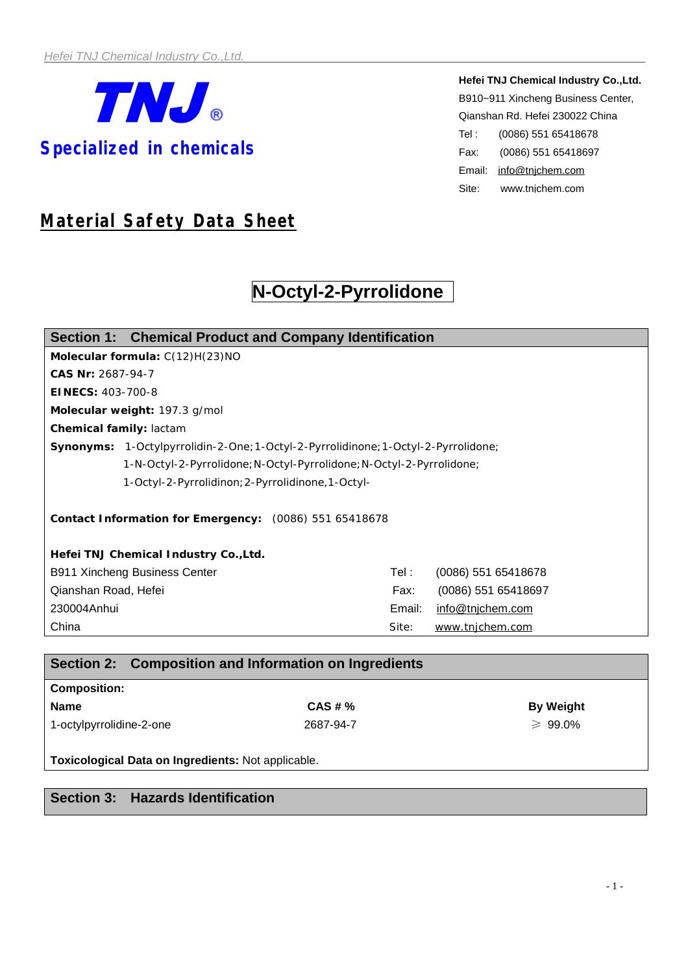

**Hefei TNJ Chemical Industry Co.,Ltd.** B910~911 Xincheng Business Center, Qianshan Rd. Hefei 230022 China Tel : (0086) 551 65418678 Fax: (0086) 551 65418697 Email: [info@tnjchem.com](mailto:info@tnjchem.com) Site: [www.tnjchem.com](http://www.tnjchem.com)

# *Material Safety Data Sheet*

# **N-Octyl-2-Pyrrolidone**

| Section 1: Chemical Product and Company Identification               |                                                                                  |         |                     |                     |  |  |  |
|----------------------------------------------------------------------|----------------------------------------------------------------------------------|---------|---------------------|---------------------|--|--|--|
| Molecular formula: C(12)H(23)NO                                      |                                                                                  |         |                     |                     |  |  |  |
| CAS Nr: 2687-94-7                                                    |                                                                                  |         |                     |                     |  |  |  |
| EINECS: 403-700-8                                                    |                                                                                  |         |                     |                     |  |  |  |
| Molecular weight: 197.3 g/mol                                        |                                                                                  |         |                     |                     |  |  |  |
| Chemical family: lactam                                              |                                                                                  |         |                     |                     |  |  |  |
|                                                                      | Synonyms: 1-Octylpyrrolidin-2-One;1-Octyl-2-Pyrrolidinone;1-Octyl-2-Pyrrolidone; |         |                     |                     |  |  |  |
| 1-N-Octyl-2-Pyrrolidone; N-Octyl-Pyrrolidone; N-Octyl-2-Pyrrolidone; |                                                                                  |         |                     |                     |  |  |  |
| 1-Octyl-2-Pyrrolidinon; 2-Pyrrolidinone, 1-Octyl-                    |                                                                                  |         |                     |                     |  |  |  |
|                                                                      |                                                                                  |         |                     |                     |  |  |  |
| Contact Information for Emergency: (0086) 551 65418678               |                                                                                  |         |                     |                     |  |  |  |
|                                                                      |                                                                                  |         |                     |                     |  |  |  |
| Hefei TNJ Chemical Industry Co., Ltd.                                |                                                                                  |         |                     |                     |  |  |  |
| <b>B911 Xincheng Business Center</b>                                 |                                                                                  | Tel : l | (0086) 551 65418678 |                     |  |  |  |
| Qianshan Road, Hefei                                                 |                                                                                  |         | Fax:                | (0086) 551 65418697 |  |  |  |
| 230004Anhui                                                          |                                                                                  | Email:  | info@tnjchem.com    |                     |  |  |  |
| China                                                                |                                                                                  | Site:   | www.tnjchem.com     |                     |  |  |  |

|                          | Section 2: Composition and Information on Ingredients |                  |  |  |  |
|--------------------------|-------------------------------------------------------|------------------|--|--|--|
| <b>Composition:</b>      |                                                       |                  |  |  |  |
| <b>Name</b>              | CAS # %                                               | <b>By Weight</b> |  |  |  |
| 1-octylpyrrolidine-2-one | 2687-94-7                                             | $\geq 99.0\%$    |  |  |  |

**Toxicological Data on Ingredients:** Not applicable.

# **Section 3: Hazards Identification**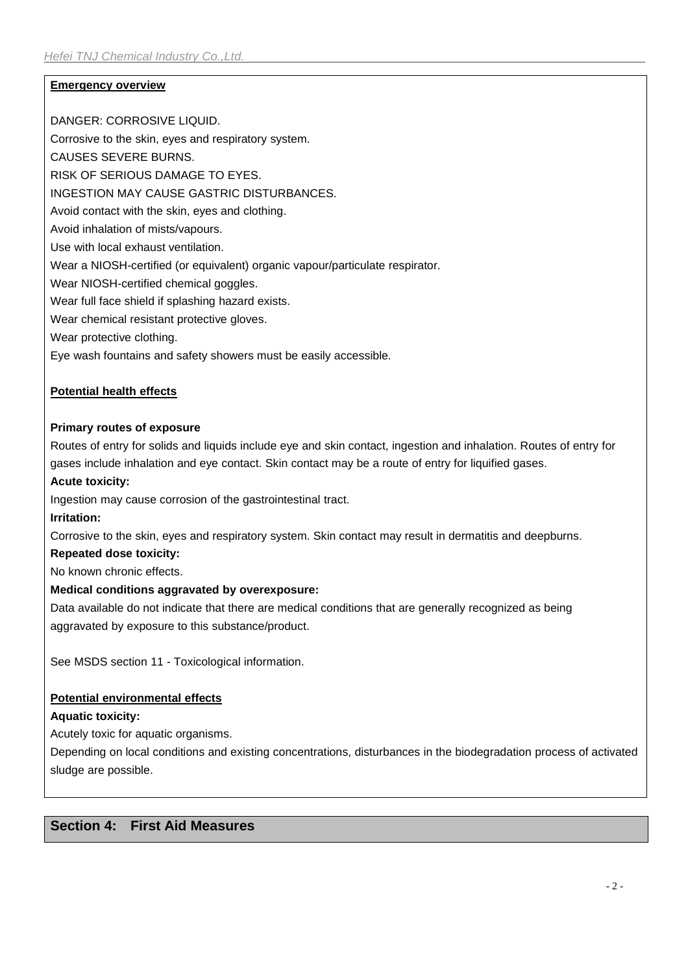# **Emergency overview**

DANGER: CORROSIVE LIQUID.

Corrosive to the skin, eyes and respiratory system.

CAUSES SEVERE BURNS.

RISK OF SERIOUS DAMAGE TO EYES.

INGESTION MAY CAUSE GASTRIC DISTURBANCES.

Avoid contact with the skin, eyes and clothing.

Avoid inhalation of mists/vapours.

Use with local exhaust ventilation.

Wear a NIOSH-certified (or equivalent) organic vapour/particulate respirator.

Wear NIOSH-certified chemical goggles.

Wear full face shield if splashing hazard exists.

Wear chemical resistant protective gloves.

Wear protective clothing.

Eye wash fountains and safety showers must be easily accessible.

### **Potential health effects**

### **Primary routes of exposure**

Routes of entry for solids and liquids include eye and skin contact, ingestion and inhalation. Routes of entry for gases include inhalation and eye contact. Skin contact may be a route of entry for liquified gases.

#### **Acute toxicity:**

Ingestion may cause corrosion of the gastrointestinal tract.

#### **Irritation:**

Corrosive to the skin, eyes and respiratory system. Skin contact may result in dermatitis and deepburns.

### **Repeated dose toxicity:**

No known chronic effects.

# **Medical conditions aggravated by overexposure:**

Data available do not indicate that there are medical conditions that are generally recognized as being aggravated by exposure to this substance/product.

See MSDS section 11 - Toxicological information.

# **Potential environmental effects**

# **Aquatic toxicity:**

Acutely toxic for aquatic organisms.

Depending on local conditions and existing concentrations, disturbances in the biodegradation process of activated sludge are possible.

# **Section 4: First Aid Measures**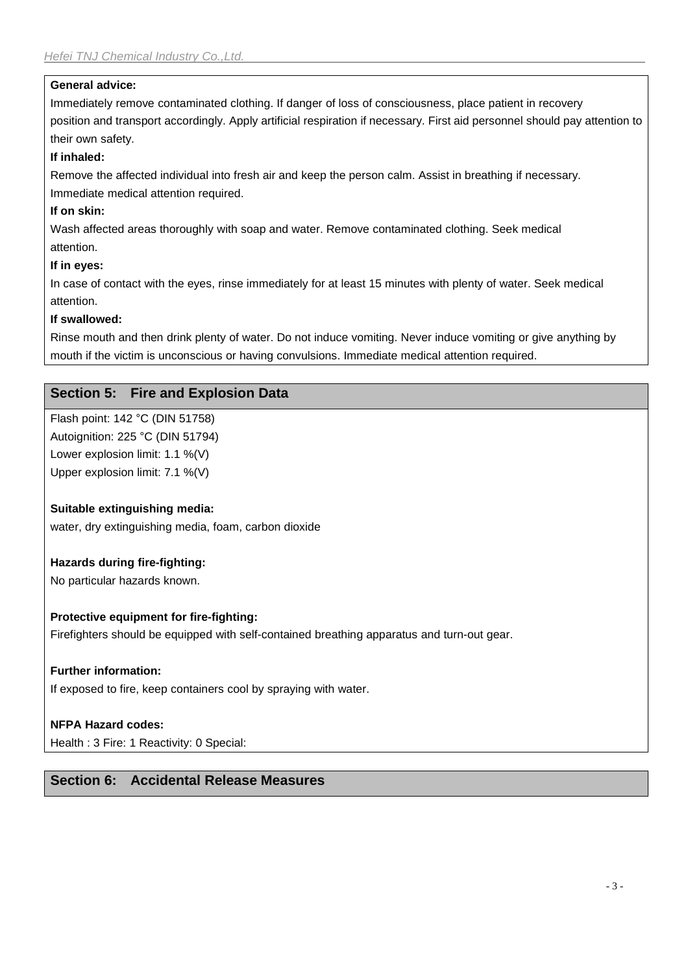# **General advice:**

Immediately remove contaminated clothing. If danger of loss of consciousness, place patient in recovery position and transport accordingly. Apply artificial respiration if necessary. First aid personnel should pay attention to their own safety.

# **If inhaled:**

Remove the affected individual into fresh air and keep the person calm. Assist in breathing if necessary. Immediate medical attention required.

# **If on skin:**

Wash affected areas thoroughly with soap and water. Remove contaminated clothing. Seek medical attention.

# **If in eyes:**

In case of contact with the eyes, rinse immediately for at least 15 minutes with plenty of water. Seek medical attention.

# **If swallowed:**

Rinse mouth and then drink plenty of water. Do not induce vomiting. Never induce vomiting or give anything by mouth if the victim is unconscious or having convulsions. Immediate medical attention required.

# **Section 5: Fire and Explosion Data**

Flash point: 142 °C (DIN 51758) Autoignition: 225 °C (DIN 51794) Lower explosion limit: 1.1 %(V) Upper explosion limit: 7.1 %(V)

# **Suitable extinguishing media:**

water, dry extinguishing media, foam, carbon dioxide

# **Hazards during fire-fighting:**

No particular hazards known.

# **Protective equipment for fire-fighting:**

Firefighters should be equipped with self-contained breathing apparatus and turn-out gear.

#### **Further information:**

If exposed to fire, keep containers cool by spraying with water.

# **NFPA Hazard codes:**

Health : 3 Fire: 1 Reactivity: 0 Special:

# **Section 6: Accidental Release Measures**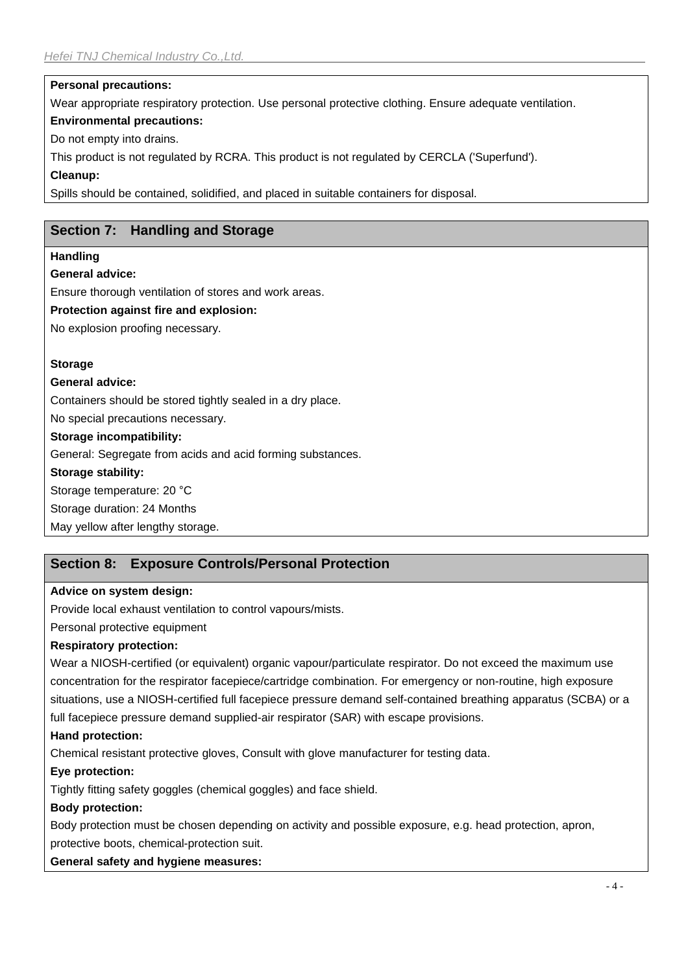#### **Personal precautions:**

Wear appropriate respiratory protection. Use personal protective clothing. Ensure adequate ventilation.

#### **Environmental precautions:**

Do not empty into drains.

This product is not regulated by RCRA. This product is not regulated by CERCLA ('Superfund').

### **Cleanup:**

Spills should be contained, solidified, and placed in suitable containers for disposal.

# **Section 7: Handling and Storage**

### **Handling**

### **General advice:**

Ensure thorough ventilation of stores and work areas.

### **Protection against fire and explosion:**

No explosion proofing necessary.

# **Storage**

#### **General advice:**

Containers should be stored tightly sealed in a dry place.

No special precautions necessary.

#### **Storage incompatibility:**

General: Segregate from acids and acid forming substances.

#### **Storage stability:**

Storage temperature: 20 °C

Storage duration: 24 Months

May yellow after lengthy storage.

# **Section 8: Exposure Controls/Personal Protection**

# **Advice on system design:**

Provide local exhaust ventilation to control vapours/mists.

Personal protective equipment

# **Respiratory protection:**

Wear a NIOSH-certified (or equivalent) organic vapour/particulate respirator. Do not exceed the maximum use concentration for the respirator facepiece/cartridge combination. For emergency or non-routine, high exposure situations, use a NIOSH-certified full facepiece pressure demand self-contained breathing apparatus (SCBA) or a full facepiece pressure demand supplied-air respirator (SAR) with escape provisions.

# **Hand protection:**

Chemical resistant protective gloves, Consult with glove manufacturer for testing data.

# **Eye protection:**

Tightly fitting safety goggles (chemical goggles) and face shield.

# **Body protection:**

Body protection must be chosen depending on activity and possible exposure, e.g. head protection, apron, protective boots, chemical-protection suit.

# **General safety and hygiene measures:**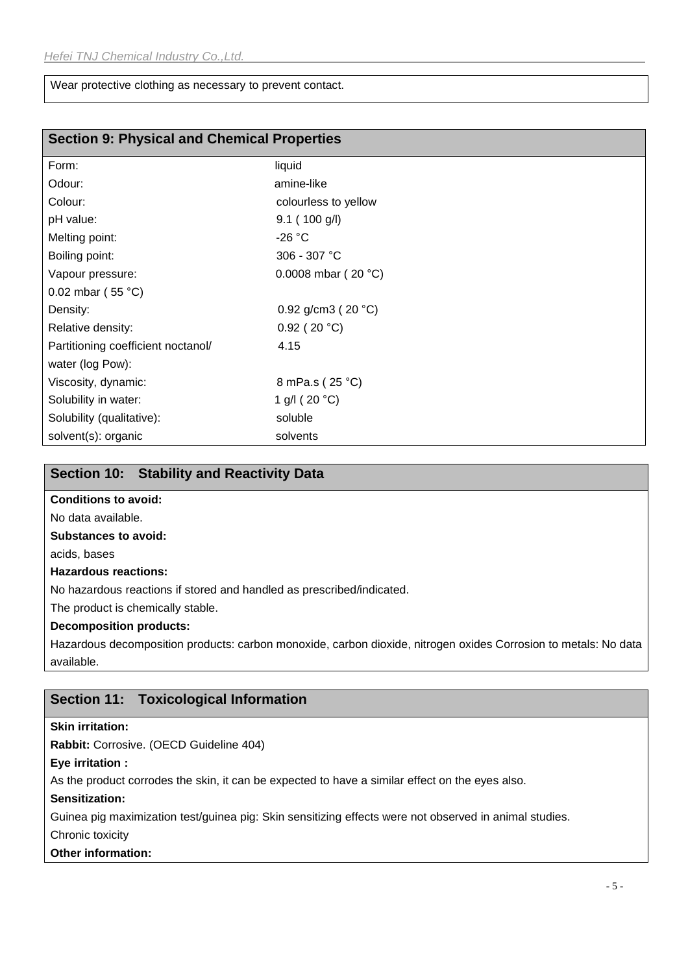Wear protective clothing as necessary to prevent contact.

|  | <b>Section 9: Physical and Chemical Properties</b> |  |  |
|--|----------------------------------------------------|--|--|
|--|----------------------------------------------------|--|--|

| Form:                              | liquid                  |
|------------------------------------|-------------------------|
| Odour:                             | amine-like              |
| Colour:                            | colourless to yellow    |
| pH value:                          | 9.1(100 g/l)            |
| Melting point:                     | $-26 °C$                |
| Boiling point:                     | 306 - 307 °C            |
| Vapour pressure:                   | 0.0008 mbar ( $20 °C$ ) |
| 0.02 mbar (55 $^{\circ}$ C)        |                         |
| Density:                           | 0.92 g/cm3 ( $20 °C$ )  |
| Relative density:                  | $0.92$ (20 °C)          |
| Partitioning coefficient noctanol/ | 4.15                    |
| water (log Pow):                   |                         |
| Viscosity, dynamic:                | 8 mPa.s (25 °C)         |
| Solubility in water:               | 1 g/l (20 $^{\circ}$ C) |
| Solubility (qualitative):          | soluble                 |
| solvent(s): organic                | solvents                |

### **Section 10: Stability and Reactivity Data**

#### **Conditions to avoid:**

No data available.

#### **Substances to avoid:**

acids, bases

#### **Hazardous reactions:**

No hazardous reactions if stored and handled as prescribed/indicated.

The product is chemically stable.

# **Decomposition products:**

Hazardous decomposition products: carbon monoxide, carbon dioxide, nitrogen oxides Corrosion to metals: No data available.

# **Section 11: Toxicological Information**

#### **Skin irritation:**

**Rabbit:** Corrosive. (OECD Guideline 404)

#### **Eye irritation :**

As the product corrodes the skin, it can be expected to have a similar effect on the eyes also.

#### **Sensitization:**

Guinea pig maximization test/guinea pig: Skin sensitizing effects were not observed in animal studies.

#### Chronic toxicity

#### **Other information:**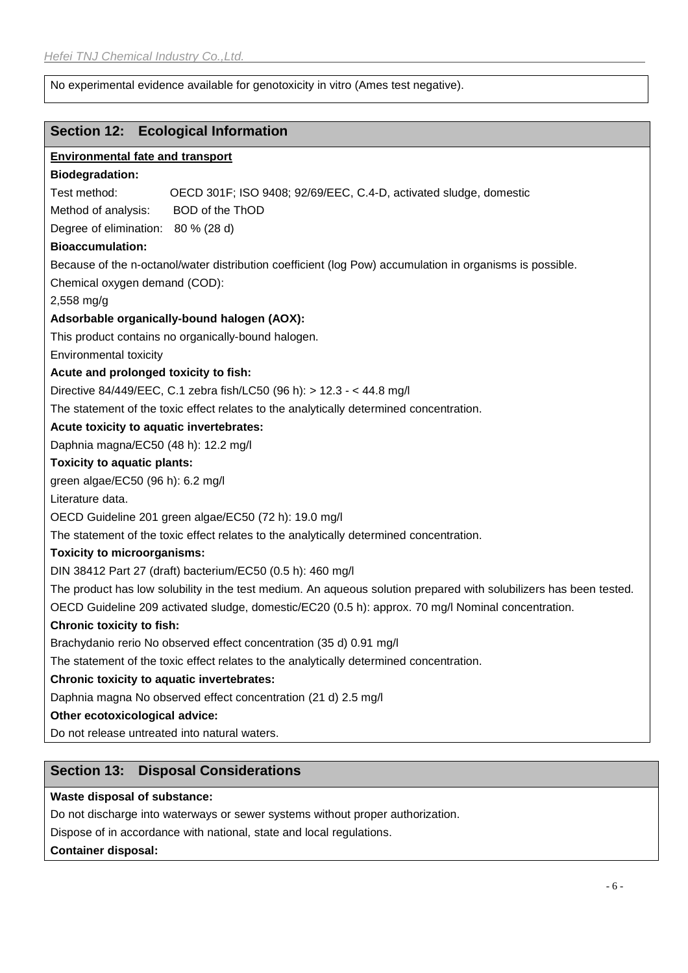No experimental evidence available for genotoxicity in vitro (Ames test negative).

### **Section 12: Ecological Information**

**Environmental fate and transport Biodegradation:** Test method: OECD 301F; ISO 9408; 92/69/EEC, C.4-D, activated sludge, domestic Method of analysis: BOD of the ThOD Degree of elimination: 80 % (28 d) **Bioaccumulation:** Because of the n-octanol/water distribution coefficient (log Pow) accumulation in organisms is possible. Chemical oxygen demand (COD): 2,558 mg/g **Adsorbable organically-bound halogen (AOX):** This product contains no organically-bound halogen. Environmental toxicity **Acute and prolonged toxicity to fish:** Directive 84/449/EEC, C.1 zebra fish/LC50 (96 h): > 12.3 - < 44.8 mg/l The statement of the toxic effect relates to the analytically determined concentration. **Acute toxicity to aquatic invertebrates:** Daphnia magna/EC50 (48 h): 12.2 mg/l **Toxicity to aquatic plants:** green algae/EC50 (96 h): 6.2 mg/l Literature data. OECD Guideline 201 green algae/EC50 (72 h): 19.0 mg/l The statement of the toxic effect relates to the analytically determined concentration. **Toxicity to microorganisms:** DIN 38412 Part 27 (draft) bacterium/EC50 (0.5 h): 460 mg/l The product has low solubility in the test medium. An aqueous solution prepared with solubilizers has been tested. OECD Guideline 209 activated sludge, domestic/EC20 (0.5 h): approx. 70 mg/l Nominal concentration. **Chronic toxicity to fish:** Brachydanio rerio No observed effect concentration (35 d) 0.91 mg/l The statement of the toxic effect relates to the analytically determined concentration. **Chronic toxicity to aquatic invertebrates:** Daphnia magna No observed effect concentration (21 d) 2.5 mg/l **Other ecotoxicological advice:** Do not release untreated into natural waters.

# **Section 13: Disposal Considerations**

#### **Waste disposal of substance:**

Do not discharge into waterways or sewer systems without proper authorization.

Dispose of in accordance with national, state and local regulations.

**Container disposal:**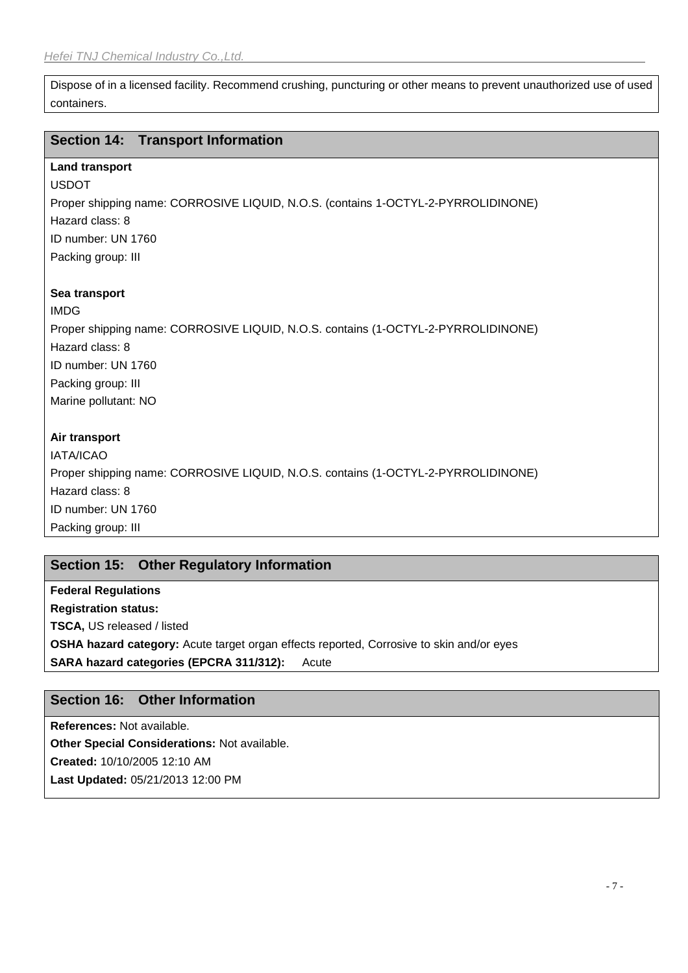Dispose of in a licensed facility. Recommend crushing, puncturing or other means to prevent unauthorized use of used containers.

# **Section 14: Transport Information**

# **Land transport**

USDOT Proper shipping name: CORROSIVE LIQUID, N.O.S. (contains 1-OCTYL-2-PYRROLIDINONE) Hazard class: 8 ID number: UN 1760 Packing group: III

### **Sea transport**

IMDG Proper shipping name: CORROSIVE LIQUID, N.O.S. contains (1-OCTYL-2-PYRROLIDINONE) Hazard class: 8 ID number: UN 1760 Packing group: III Marine pollutant: NO

# **Air transport**

IATA/ICAO Proper shipping name: CORROSIVE LIQUID, N.O.S. contains (1-OCTYL-2-PYRROLIDINONE) Hazard class: 8 ID number: UN 1760 Packing group: III

# **Section 15: Other Regulatory Information**

**Federal Regulations Registration status: TSCA,** US released / listed **OSHA hazard category:** Acute target organ effects reported, Corrosive to skin and/or eyes **SARA hazard categories (EPCRA 311/312):** Acute

# **Section 16: Other Information**

**References:** Not available.

**Other Special Considerations:** Not available. **Created:** 10/10/2005 12:10 AM **Last Updated:** 05/21/2013 12:00 PM